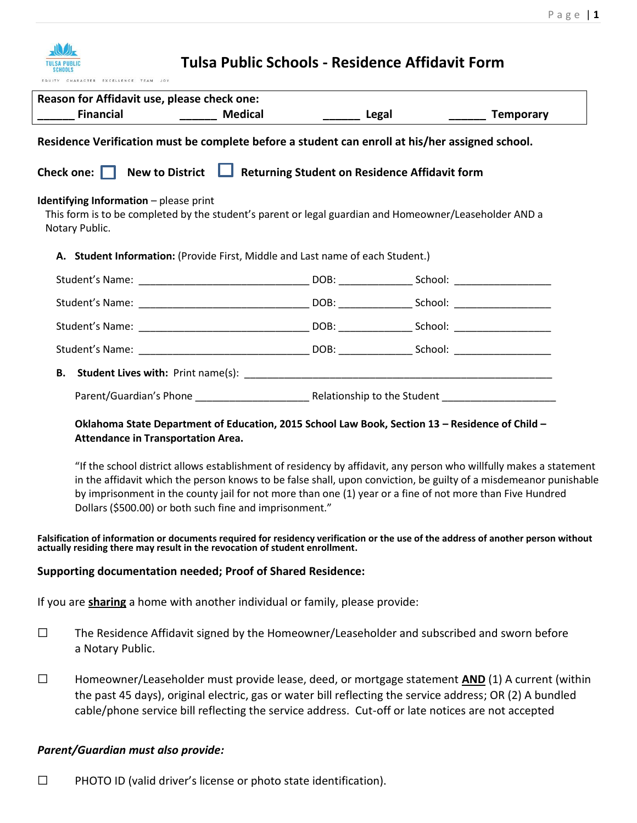| Tulsa Public Schools - Residence Affidavit Form<br>CHARACTER EXCELLENCE TEAM JOY                |                                                                                                                                                                                          |  |                  |  |
|-------------------------------------------------------------------------------------------------|------------------------------------------------------------------------------------------------------------------------------------------------------------------------------------------|--|------------------|--|
| Reason for Affidavit use, please check one:                                                     |                                                                                                                                                                                          |  |                  |  |
| <b>Financial</b>                                                                                | <b>Medical</b>                                                                                                                                                                           |  | <b>Temporary</b> |  |
| Residence Verification must be complete before a student can enroll at his/her assigned school. |                                                                                                                                                                                          |  |                  |  |
| Check one: New to District   Returning Student on Residence Affidavit form                      |                                                                                                                                                                                          |  |                  |  |
| <b>Identifying Information</b> $-$ please print<br>Notary Public.                               | This form is to be completed by the student's parent or legal guardian and Homeowner/Leaseholder AND a<br>A. Student Information: (Provide First, Middle and Last name of each Student.) |  |                  |  |
|                                                                                                 |                                                                                                                                                                                          |  |                  |  |
|                                                                                                 |                                                                                                                                                                                          |  |                  |  |
|                                                                                                 |                                                                                                                                                                                          |  |                  |  |
|                                                                                                 |                                                                                                                                                                                          |  |                  |  |
| В.                                                                                              |                                                                                                                                                                                          |  |                  |  |
|                                                                                                 |                                                                                                                                                                                          |  |                  |  |

## **Oklahoma State Department of Education, 2015 School Law Book, Section 13 – Residence of Child – Attendance in Transportation Area.**

"If the school district allows establishment of residency by affidavit, any person who willfully makes a statement in the affidavit which the person knows to be false shall, upon conviction, be guilty of a misdemeanor punishable by imprisonment in the county jail for not more than one (1) year or a fine of not more than Five Hundred Dollars (\$500.00) or both such fine and imprisonment."

## **Falsification of information or documents required for residency verification or the use of the address of another person without actually residing there may result in the revocation of student enrollment.**

## **Supporting documentation needed; Proof of Shared Residence:**

If you are **sharing** a home with another individual or family, please provide:

- $\square$  The Residence Affidavit signed by the Homeowner/Leaseholder and subscribed and sworn before a Notary Public.
- ☐ Homeowner/Leaseholder must provide lease, deed, or mortgage statement **AND** (1) A current (within the past 45 days), original electric, gas or water bill reflecting the service address; OR (2) A bundled cable/phone service bill reflecting the service address. Cut-off or late notices are not accepted

## *Parent/Guardian must also provide:*

☐ PHOTO ID (valid driver's license or photo state identification).